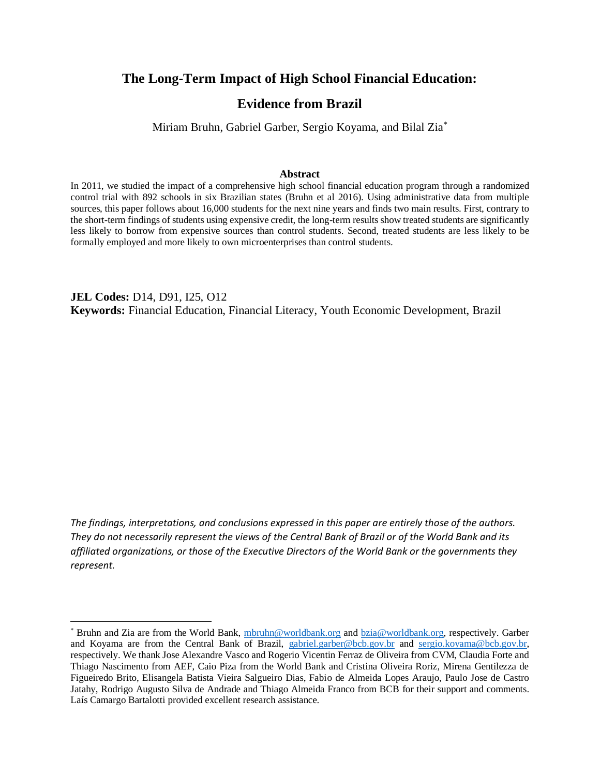## **The Long-Term Impact of High School Financial Education:**

## **Evidence from Brazil**

Miriam Bruhn, Gabriel Garber, Sergio Koyama, and Bilal Zia\*

#### **Abstract**

In 2011, we studied the impact of a comprehensive high school financial education program through a randomized control trial with 892 schools in six Brazilian states (Bruhn et al 2016). Using administrative data from multiple sources, this paper follows about 16,000 students for the next nine years and finds two main results. First, contrary to the short-term findings of students using expensive credit, the long-term results show treated students are significantly less likely to borrow from expensive sources than control students. Second, treated students are less likely to be formally employed and more likely to own microenterprises than control students.

**JEL Codes:** D14, D91, I25, O12 **Keywords:** Financial Education, Financial Literacy, Youth Economic Development, Brazil

*The findings, interpretations, and conclusions expressed in this paper are entirely those of the authors. They do not necessarily represent the views of the Central Bank of Brazil or of the World Bank and its affiliated organizations, or those of the Executive Directors of the World Bank or the governments they represent.*

<sup>\*</sup> Bruhn and Zia are from the World Bank, [mbruhn@worldbank.org](mailto:mbruhn@worldbank.org) and [bzia@worldbank.org,](mailto:bzia@worldbank.org) respectively. Garber and Koyama are from the Central Bank of Brazil, [gabriel.garber@bcb.gov.br](mailto:gabriel.garber@bcb.gov.br) and [sergio.koyama@bcb.gov.br,](mailto:sergio.koyama@bcb.gov.br) respectively. We thank Jose Alexandre Vasco and Rogerio Vicentin Ferraz de Oliveira from CVM, Claudia Forte and Thiago Nascimento from AEF, Caio Piza from the World Bank and Cristina Oliveira Roriz, Mirena Gentilezza de Figueiredo Brito, Elisangela Batista Vieira Salgueiro Dias, Fabio de Almeida Lopes Araujo, Paulo Jose de Castro Jatahy, Rodrigo Augusto Silva de Andrade and Thiago Almeida Franco from BCB for their support and comments. Laís Camargo Bartalotti provided excellent research assistance.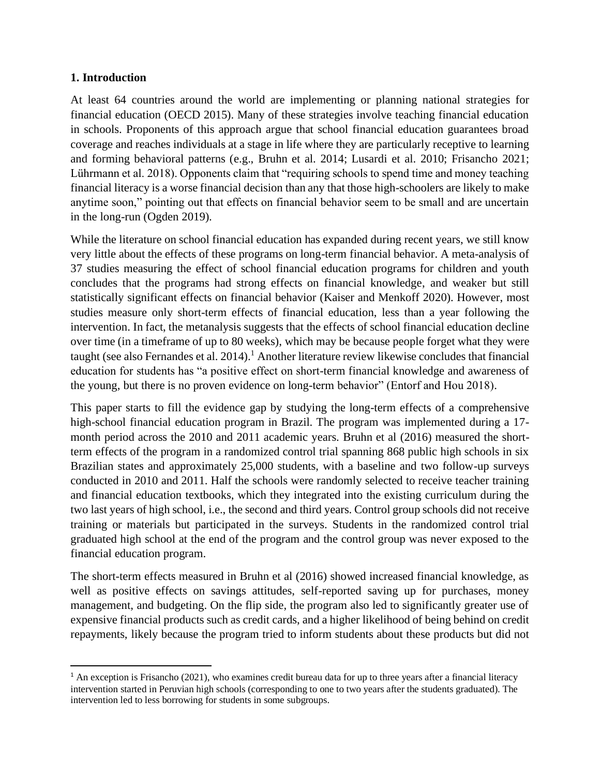## **1. Introduction**

At least 64 countries around the world are implementing or planning national strategies for financial education (OECD 2015). Many of these strategies involve teaching financial education in schools. Proponents of this approach argue that school financial education guarantees broad coverage and reaches individuals at a stage in life where they are particularly receptive to learning and forming behavioral patterns (e.g., Bruhn et al. 2014; Lusardi et al. 2010; Frisancho 2021; Lührmann et al. 2018). Opponents claim that "requiring schools to spend time and money teaching financial literacy is a worse financial decision than any that those high-schoolers are likely to make anytime soon," pointing out that effects on financial behavior seem to be small and are uncertain in the long-run (Ogden 2019).

While the literature on school financial education has expanded during recent years, we still know very little about the effects of these programs on long-term financial behavior. A meta-analysis of 37 studies measuring the effect of school financial education programs for children and youth concludes that the programs had strong effects on financial knowledge, and weaker but still statistically significant effects on financial behavior (Kaiser and Menkoff 2020). However, most studies measure only short-term effects of financial education, less than a year following the intervention. In fact, the metanalysis suggests that the effects of school financial education decline over time (in a timeframe of up to 80 weeks), which may be because people forget what they were taught (see also Fernandes et al. 2014).<sup>1</sup> Another literature review likewise concludes that financial education for students has "a positive effect on short-term financial knowledge and awareness of the young, but there is no proven evidence on long-term behavior" (Entorf and Hou 2018).

This paper starts to fill the evidence gap by studying the long-term effects of a comprehensive high-school financial education program in Brazil. The program was implemented during a 17 month period across the 2010 and 2011 academic years. Bruhn et al (2016) measured the shortterm effects of the program in a randomized control trial spanning 868 public high schools in six Brazilian states and approximately 25,000 students, with a baseline and two follow-up surveys conducted in 2010 and 2011. Half the schools were randomly selected to receive teacher training and financial education textbooks, which they integrated into the existing curriculum during the two last years of high school, i.e., the second and third years. Control group schools did not receive training or materials but participated in the surveys. Students in the randomized control trial graduated high school at the end of the program and the control group was never exposed to the financial education program.

The short-term effects measured in Bruhn et al (2016) showed increased financial knowledge, as well as positive effects on savings attitudes, self-reported saving up for purchases, money management, and budgeting. On the flip side, the program also led to significantly greater use of expensive financial products such as credit cards, and a higher likelihood of being behind on credit repayments, likely because the program tried to inform students about these products but did not

 $1$  An exception is Frisancho (2021), who examines credit bureau data for up to three years after a financial literacy intervention started in Peruvian high schools (corresponding to one to two years after the students graduated). The intervention led to less borrowing for students in some subgroups.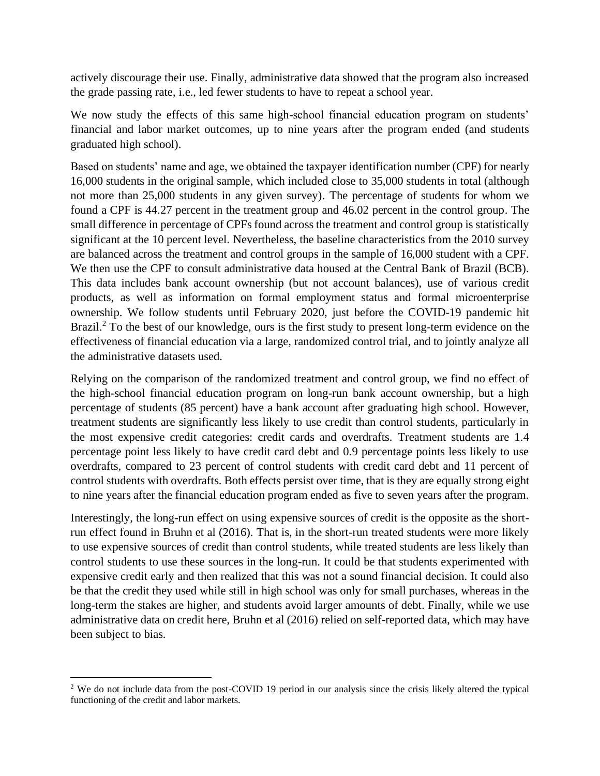actively discourage their use. Finally, administrative data showed that the program also increased the grade passing rate, i.e., led fewer students to have to repeat a school year.

We now study the effects of this same high-school financial education program on students' financial and labor market outcomes, up to nine years after the program ended (and students graduated high school).

Based on students' name and age, we obtained the taxpayer identification number (CPF) for nearly 16,000 students in the original sample, which included close to 35,000 students in total (although not more than 25,000 students in any given survey). The percentage of students for whom we found a CPF is 44.27 percent in the treatment group and 46.02 percent in the control group. The small difference in percentage of CPFs found across the treatment and control group is statistically significant at the 10 percent level. Nevertheless, the baseline characteristics from the 2010 survey are balanced across the treatment and control groups in the sample of 16,000 student with a CPF. We then use the CPF to consult administrative data housed at the Central Bank of Brazil (BCB). This data includes bank account ownership (but not account balances), use of various credit products, as well as information on formal employment status and formal microenterprise ownership. We follow students until February 2020, just before the COVID-19 pandemic hit Brazil.<sup>2</sup> To the best of our knowledge, ours is the first study to present long-term evidence on the effectiveness of financial education via a large, randomized control trial, and to jointly analyze all the administrative datasets used.

Relying on the comparison of the randomized treatment and control group, we find no effect of the high-school financial education program on long-run bank account ownership, but a high percentage of students (85 percent) have a bank account after graduating high school. However, treatment students are significantly less likely to use credit than control students, particularly in the most expensive credit categories: credit cards and overdrafts. Treatment students are 1.4 percentage point less likely to have credit card debt and 0.9 percentage points less likely to use overdrafts, compared to 23 percent of control students with credit card debt and 11 percent of control students with overdrafts. Both effects persist over time, that is they are equally strong eight to nine years after the financial education program ended as five to seven years after the program.

Interestingly, the long-run effect on using expensive sources of credit is the opposite as the shortrun effect found in Bruhn et al (2016). That is, in the short-run treated students were more likely to use expensive sources of credit than control students, while treated students are less likely than control students to use these sources in the long-run. It could be that students experimented with expensive credit early and then realized that this was not a sound financial decision. It could also be that the credit they used while still in high school was only for small purchases, whereas in the long-term the stakes are higher, and students avoid larger amounts of debt. Finally, while we use administrative data on credit here, Bruhn et al (2016) relied on self-reported data, which may have been subject to bias.

<sup>&</sup>lt;sup>2</sup> We do not include data from the post-COVID 19 period in our analysis since the crisis likely altered the typical functioning of the credit and labor markets.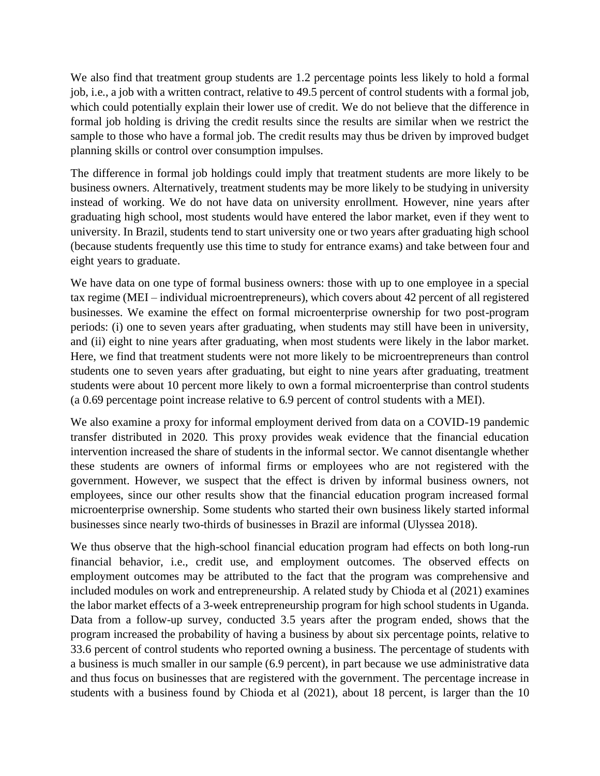We also find that treatment group students are 1.2 percentage points less likely to hold a formal job, i.e., a job with a written contract, relative to 49.5 percent of control students with a formal job, which could potentially explain their lower use of credit. We do not believe that the difference in formal job holding is driving the credit results since the results are similar when we restrict the sample to those who have a formal job. The credit results may thus be driven by improved budget planning skills or control over consumption impulses.

The difference in formal job holdings could imply that treatment students are more likely to be business owners. Alternatively, treatment students may be more likely to be studying in university instead of working. We do not have data on university enrollment. However, nine years after graduating high school, most students would have entered the labor market, even if they went to university. In Brazil, students tend to start university one or two years after graduating high school (because students frequently use this time to study for entrance exams) and take between four and eight years to graduate.

We have data on one type of formal business owners: those with up to one employee in a special tax regime (MEI – individual microentrepreneurs), which covers about 42 percent of all registered businesses. We examine the effect on formal microenterprise ownership for two post-program periods: (i) one to seven years after graduating, when students may still have been in university, and (ii) eight to nine years after graduating, when most students were likely in the labor market. Here, we find that treatment students were not more likely to be microentrepreneurs than control students one to seven years after graduating, but eight to nine years after graduating, treatment students were about 10 percent more likely to own a formal microenterprise than control students (a 0.69 percentage point increase relative to 6.9 percent of control students with a MEI).

We also examine a proxy for informal employment derived from data on a COVID-19 pandemic transfer distributed in 2020. This proxy provides weak evidence that the financial education intervention increased the share of students in the informal sector. We cannot disentangle whether these students are owners of informal firms or employees who are not registered with the government. However, we suspect that the effect is driven by informal business owners, not employees, since our other results show that the financial education program increased formal microenterprise ownership. Some students who started their own business likely started informal businesses since nearly two-thirds of businesses in Brazil are informal (Ulyssea 2018).

We thus observe that the high-school financial education program had effects on both long-run financial behavior, i.e., credit use, and employment outcomes. The observed effects on employment outcomes may be attributed to the fact that the program was comprehensive and included modules on work and entrepreneurship. A related study by Chioda et al (2021) examines the labor market effects of a 3-week entrepreneurship program for high school students in Uganda. Data from a follow-up survey, conducted 3.5 years after the program ended, shows that the program increased the probability of having a business by about six percentage points, relative to 33.6 percent of control students who reported owning a business. The percentage of students with a business is much smaller in our sample (6.9 percent), in part because we use administrative data and thus focus on businesses that are registered with the government. The percentage increase in students with a business found by Chioda et al (2021), about 18 percent, is larger than the 10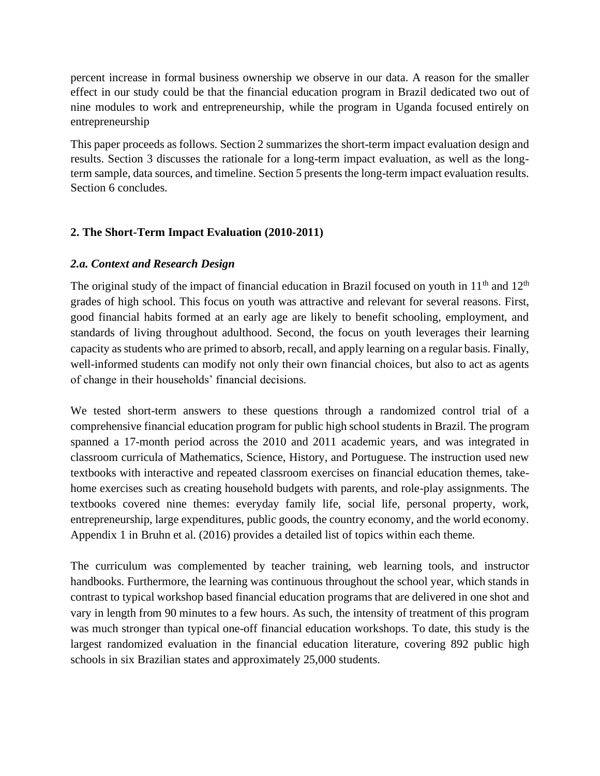percent increase in formal business ownership we observe in our data. A reason for the smaller effect in our study could be that the financial education program in Brazil dedicated two out of nine modules to work and entrepreneurship, while the program in Uganda focused entirely on entrepreneurship

This paper proceeds as follows. Section 2 summarizes the short-term impact evaluation design and results. Section 3 discusses the rationale for a long-term impact evaluation, as well as the longterm sample, data sources, and timeline. Section 5 presents the long-term impact evaluation results. Section 6 concludes.

## **2. The Short-Term Impact Evaluation (2010-2011)**

## *2.a. Context and Research Design*

The original study of the impact of financial education in Brazil focused on youth in  $11<sup>th</sup>$  and  $12<sup>th</sup>$ grades of high school. This focus on youth was attractive and relevant for several reasons. First, good financial habits formed at an early age are likely to benefit schooling, employment, and standards of living throughout adulthood. Second, the focus on youth leverages their learning capacity as students who are primed to absorb, recall, and apply learning on a regular basis. Finally, well-informed students can modify not only their own financial choices, but also to act as agents of change in their households' financial decisions.

We tested short-term answers to these questions through a randomized control trial of a comprehensive financial education program for public high school students in Brazil. The program spanned a 17-month period across the 2010 and 2011 academic years, and was integrated in classroom curricula of Mathematics, Science, History, and Portuguese. The instruction used new textbooks with interactive and repeated classroom exercises on financial education themes, takehome exercises such as creating household budgets with parents, and role-play assignments. The textbooks covered nine themes: everyday family life, social life, personal property, work, entrepreneurship, large expenditures, public goods, the country economy, and the world economy. Appendix 1 in Bruhn et al. (2016) provides a detailed list of topics within each theme.

The curriculum was complemented by teacher training, web learning tools, and instructor handbooks. Furthermore, the learning was continuous throughout the school year, which stands in contrast to typical workshop based financial education programs that are delivered in one shot and vary in length from 90 minutes to a few hours. As such, the intensity of treatment of this program was much stronger than typical one-off financial education workshops. To date, this study is the largest randomized evaluation in the financial education literature, covering 892 public high schools in six Brazilian states and approximately 25,000 students.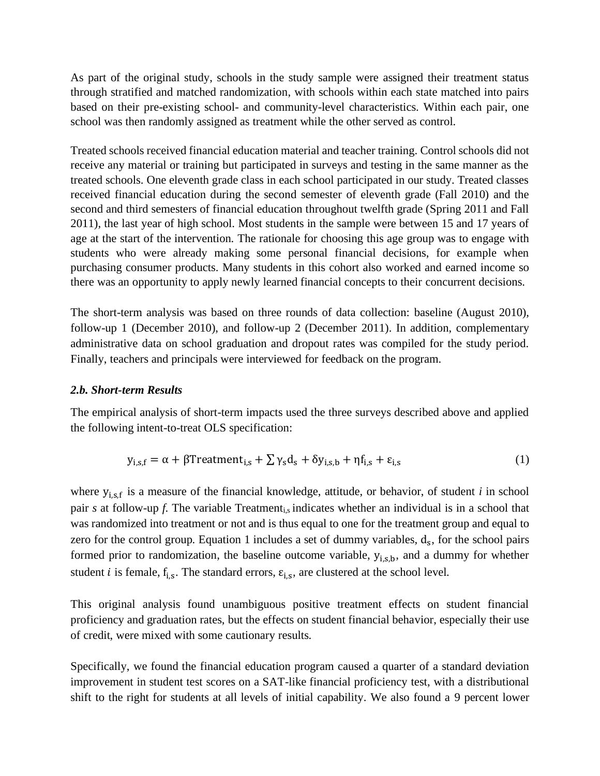As part of the original study, schools in the study sample were assigned their treatment status through stratified and matched randomization, with schools within each state matched into pairs based on their pre-existing school- and community-level characteristics. Within each pair, one school was then randomly assigned as treatment while the other served as control.

Treated schools received financial education material and teacher training. Control schools did not receive any material or training but participated in surveys and testing in the same manner as the treated schools. One eleventh grade class in each school participated in our study. Treated classes received financial education during the second semester of eleventh grade (Fall 2010) and the second and third semesters of financial education throughout twelfth grade (Spring 2011 and Fall 2011), the last year of high school. Most students in the sample were between 15 and 17 years of age at the start of the intervention. The rationale for choosing this age group was to engage with students who were already making some personal financial decisions, for example when purchasing consumer products. Many students in this cohort also worked and earned income so there was an opportunity to apply newly learned financial concepts to their concurrent decisions.

The short-term analysis was based on three rounds of data collection: baseline (August 2010), follow-up 1 (December 2010), and follow-up 2 (December 2011). In addition, complementary administrative data on school graduation and dropout rates was compiled for the study period. Finally, teachers and principals were interviewed for feedback on the program.

## *2.b. Short-term Results*

The empirical analysis of short-term impacts used the three surveys described above and applied the following intent-to-treat OLS specification:

$$
y_{i,s,f} = \alpha + \beta \text{Treatment}_{i,s} + \sum \gamma_s d_s + \delta y_{i,s,b} + \eta f_{i,s} + \varepsilon_{i,s} \tag{1}
$$

where  $y_{i,s,f}$  is a measure of the financial knowledge, attitude, or behavior, of student *i* in school pair *s* at follow-up *f*. The variable Treatmenti,s indicates whether an individual is in a school that was randomized into treatment or not and is thus equal to one for the treatment group and equal to zero for the control group. Equation 1 includes a set of dummy variables,  $d_s$ , for the school pairs formed prior to randomization, the baseline outcome variable,  $y_{i,s,b}$ , and a dummy for whether student *i* is female,  $f_{i,s}$ . The standard errors,  $\varepsilon_{i,s}$ , are clustered at the school level.

This original analysis found unambiguous positive treatment effects on student financial proficiency and graduation rates, but the effects on student financial behavior, especially their use of credit, were mixed with some cautionary results.

Specifically, we found the financial education program caused a quarter of a standard deviation improvement in student test scores on a SAT-like financial proficiency test, with a distributional shift to the right for students at all levels of initial capability. We also found a 9 percent lower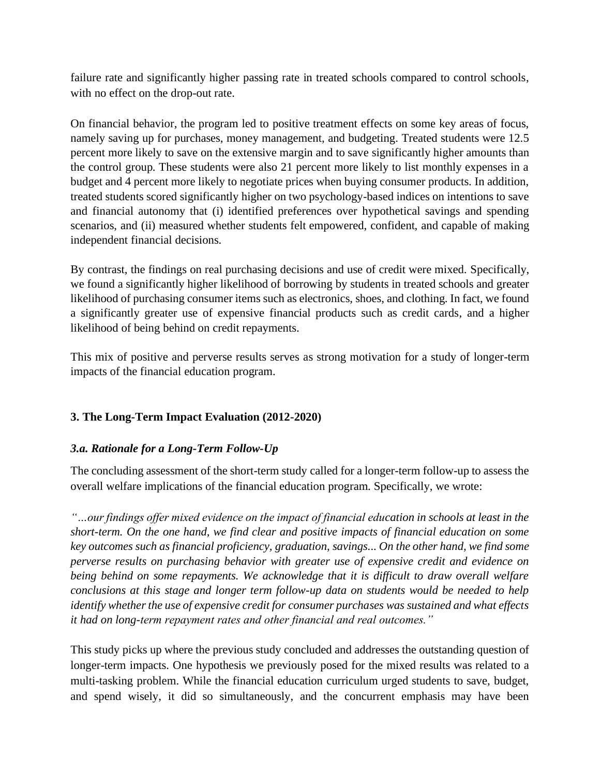failure rate and significantly higher passing rate in treated schools compared to control schools, with no effect on the drop-out rate.

On financial behavior, the program led to positive treatment effects on some key areas of focus, namely saving up for purchases, money management, and budgeting. Treated students were 12.5 percent more likely to save on the extensive margin and to save significantly higher amounts than the control group. These students were also 21 percent more likely to list monthly expenses in a budget and 4 percent more likely to negotiate prices when buying consumer products. In addition, treated students scored significantly higher on two psychology-based indices on intentions to save and financial autonomy that (i) identified preferences over hypothetical savings and spending scenarios, and (ii) measured whether students felt empowered, confident, and capable of making independent financial decisions.

By contrast, the findings on real purchasing decisions and use of credit were mixed. Specifically, we found a significantly higher likelihood of borrowing by students in treated schools and greater likelihood of purchasing consumer items such as electronics, shoes, and clothing. In fact, we found a significantly greater use of expensive financial products such as credit cards, and a higher likelihood of being behind on credit repayments.

This mix of positive and perverse results serves as strong motivation for a study of longer-term impacts of the financial education program.

# **3. The Long-Term Impact Evaluation (2012-2020)**

# *3.a. Rationale for a Long-Term Follow-Up*

The concluding assessment of the short-term study called for a longer-term follow-up to assess the overall welfare implications of the financial education program. Specifically, we wrote:

*"…our findings offer mixed evidence on the impact of financial education in schools at least in the short-term. On the one hand, we find clear and positive impacts of financial education on some key outcomes such as financial proficiency, graduation, savings... On the other hand, we find some perverse results on purchasing behavior with greater use of expensive credit and evidence on being behind on some repayments. We acknowledge that it is difficult to draw overall welfare conclusions at this stage and longer term follow-up data on students would be needed to help identify whether the use of expensive credit for consumer purchases was sustained and what effects it had on long-term repayment rates and other financial and real outcomes."* 

This study picks up where the previous study concluded and addresses the outstanding question of longer-term impacts. One hypothesis we previously posed for the mixed results was related to a multi-tasking problem. While the financial education curriculum urged students to save, budget, and spend wisely, it did so simultaneously, and the concurrent emphasis may have been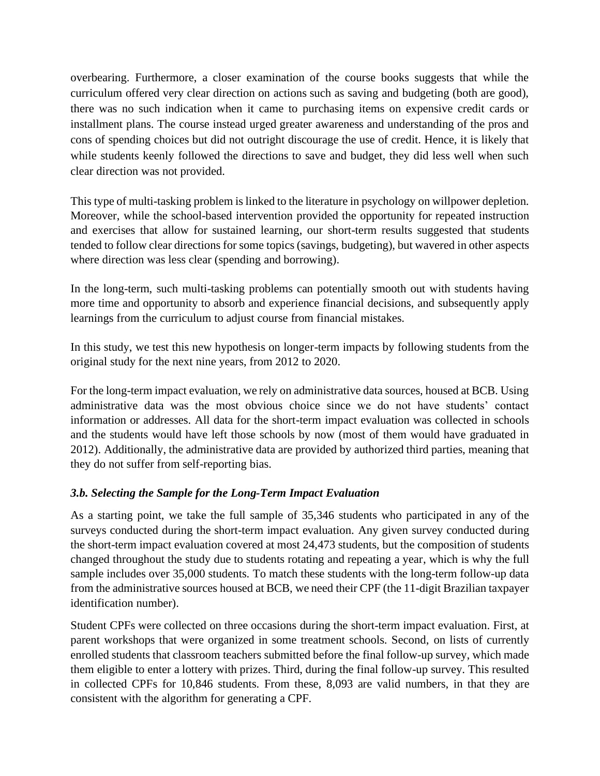overbearing. Furthermore, a closer examination of the course books suggests that while the curriculum offered very clear direction on actions such as saving and budgeting (both are good), there was no such indication when it came to purchasing items on expensive credit cards or installment plans. The course instead urged greater awareness and understanding of the pros and cons of spending choices but did not outright discourage the use of credit. Hence, it is likely that while students keenly followed the directions to save and budget, they did less well when such clear direction was not provided.

This type of multi-tasking problem is linked to the literature in psychology on willpower depletion. Moreover, while the school-based intervention provided the opportunity for repeated instruction and exercises that allow for sustained learning, our short-term results suggested that students tended to follow clear directions for some topics(savings, budgeting), but wavered in other aspects where direction was less clear (spending and borrowing).

In the long-term, such multi-tasking problems can potentially smooth out with students having more time and opportunity to absorb and experience financial decisions, and subsequently apply learnings from the curriculum to adjust course from financial mistakes.

In this study, we test this new hypothesis on longer-term impacts by following students from the original study for the next nine years, from 2012 to 2020.

For the long-term impact evaluation, we rely on administrative data sources, housed at BCB. Using administrative data was the most obvious choice since we do not have students' contact information or addresses. All data for the short-term impact evaluation was collected in schools and the students would have left those schools by now (most of them would have graduated in 2012). Additionally, the administrative data are provided by authorized third parties, meaning that they do not suffer from self-reporting bias.

## *3.b. Selecting the Sample for the Long-Term Impact Evaluation*

As a starting point, we take the full sample of 35,346 students who participated in any of the surveys conducted during the short-term impact evaluation. Any given survey conducted during the short-term impact evaluation covered at most 24,473 students, but the composition of students changed throughout the study due to students rotating and repeating a year, which is why the full sample includes over 35,000 students. To match these students with the long-term follow-up data from the administrative sources housed at BCB, we need their CPF (the 11-digit Brazilian taxpayer identification number).

Student CPFs were collected on three occasions during the short-term impact evaluation. First, at parent workshops that were organized in some treatment schools. Second, on lists of currently enrolled students that classroom teachers submitted before the final follow-up survey, which made them eligible to enter a lottery with prizes. Third, during the final follow-up survey. This resulted in collected CPFs for 10,846 students. From these, 8,093 are valid numbers, in that they are consistent with the algorithm for generating a CPF.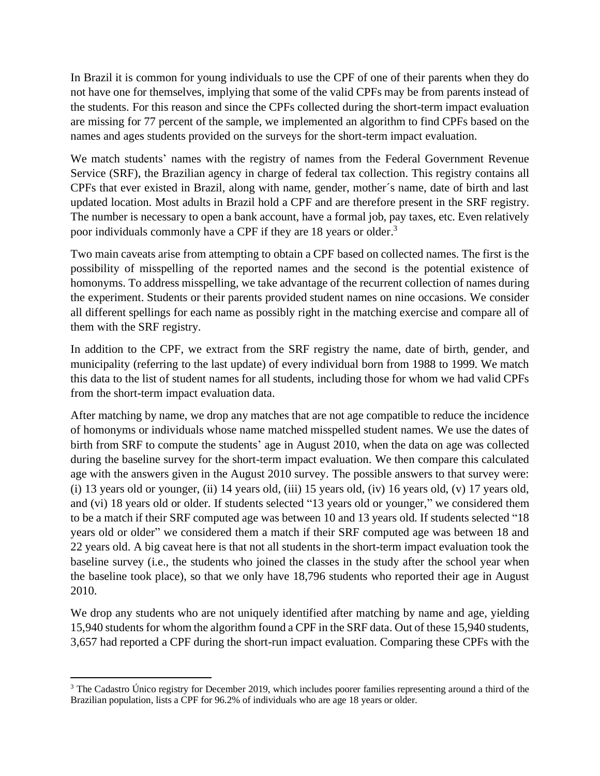In Brazil it is common for young individuals to use the CPF of one of their parents when they do not have one for themselves, implying that some of the valid CPFs may be from parents instead of the students. For this reason and since the CPFs collected during the short-term impact evaluation are missing for 77 percent of the sample, we implemented an algorithm to find CPFs based on the names and ages students provided on the surveys for the short-term impact evaluation.

We match students' names with the registry of names from the Federal Government Revenue Service (SRF), the Brazilian agency in charge of federal tax collection. This registry contains all CPFs that ever existed in Brazil, along with name, gender, mother´s name, date of birth and last updated location. Most adults in Brazil hold a CPF and are therefore present in the SRF registry. The number is necessary to open a bank account, have a formal job, pay taxes, etc. Even relatively poor individuals commonly have a CPF if they are 18 years or older.<sup>3</sup>

Two main caveats arise from attempting to obtain a CPF based on collected names. The first is the possibility of misspelling of the reported names and the second is the potential existence of homonyms. To address misspelling, we take advantage of the recurrent collection of names during the experiment. Students or their parents provided student names on nine occasions. We consider all different spellings for each name as possibly right in the matching exercise and compare all of them with the SRF registry.

In addition to the CPF, we extract from the SRF registry the name, date of birth, gender, and municipality (referring to the last update) of every individual born from 1988 to 1999. We match this data to the list of student names for all students, including those for whom we had valid CPFs from the short-term impact evaluation data.

After matching by name, we drop any matches that are not age compatible to reduce the incidence of homonyms or individuals whose name matched misspelled student names. We use the dates of birth from SRF to compute the students' age in August 2010, when the data on age was collected during the baseline survey for the short-term impact evaluation. We then compare this calculated age with the answers given in the August 2010 survey. The possible answers to that survey were: (i) 13 years old or younger, (ii) 14 years old, (iii) 15 years old, (iv) 16 years old, (v) 17 years old, and (vi) 18 years old or older. If students selected "13 years old or younger," we considered them to be a match if their SRF computed age was between 10 and 13 years old. If students selected "18 years old or older" we considered them a match if their SRF computed age was between 18 and 22 years old. A big caveat here is that not all students in the short-term impact evaluation took the baseline survey (i.e., the students who joined the classes in the study after the school year when the baseline took place), so that we only have 18,796 students who reported their age in August 2010.

We drop any students who are not uniquely identified after matching by name and age, yielding 15,940 students for whom the algorithm found a CPF in the SRF data. Out of these 15,940 students, 3,657 had reported a CPF during the short-run impact evaluation. Comparing these CPFs with the

<sup>&</sup>lt;sup>3</sup> The Cadastro Único registry for December 2019, which includes poorer families representing around a third of the Brazilian population, lists a CPF for 96.2% of individuals who are age 18 years or older.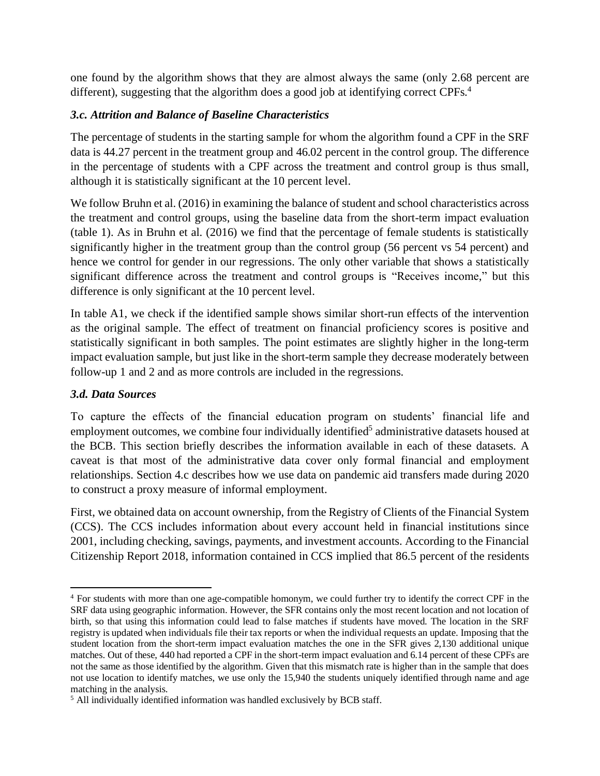one found by the algorithm shows that they are almost always the same (only 2.68 percent are different), suggesting that the algorithm does a good job at identifying correct CPFs.<sup>4</sup>

## *3.c. Attrition and Balance of Baseline Characteristics*

The percentage of students in the starting sample for whom the algorithm found a CPF in the SRF data is 44.27 percent in the treatment group and 46.02 percent in the control group. The difference in the percentage of students with a CPF across the treatment and control group is thus small, although it is statistically significant at the 10 percent level.

We follow Bruhn et al. (2016) in examining the balance of student and school characteristics across the treatment and control groups, using the baseline data from the short-term impact evaluation (table 1). As in Bruhn et al. (2016) we find that the percentage of female students is statistically significantly higher in the treatment group than the control group (56 percent vs 54 percent) and hence we control for gender in our regressions. The only other variable that shows a statistically significant difference across the treatment and control groups is "Receives income," but this difference is only significant at the 10 percent level.

In table A1, we check if the identified sample shows similar short-run effects of the intervention as the original sample. The effect of treatment on financial proficiency scores is positive and statistically significant in both samples. The point estimates are slightly higher in the long-term impact evaluation sample, but just like in the short-term sample they decrease moderately between follow-up 1 and 2 and as more controls are included in the regressions.

## *3.d. Data Sources*

To capture the effects of the financial education program on students' financial life and employment outcomes, we combine four individually identified<sup>5</sup> administrative datasets housed at the BCB. This section briefly describes the information available in each of these datasets. A caveat is that most of the administrative data cover only formal financial and employment relationships. Section 4.c describes how we use data on pandemic aid transfers made during 2020 to construct a proxy measure of informal employment.

First, we obtained data on account ownership, from the Registry of Clients of the Financial System (CCS). The CCS includes information about every account held in financial institutions since 2001, including checking, savings, payments, and investment accounts. According to the Financial Citizenship Report 2018, information contained in CCS implied that 86.5 percent of the residents

<sup>4</sup> For students with more than one age-compatible homonym, we could further try to identify the correct CPF in the SRF data using geographic information. However, the SFR contains only the most recent location and not location of birth, so that using this information could lead to false matches if students have moved. The location in the SRF registry is updated when individuals file their tax reports or when the individual requests an update. Imposing that the student location from the short-term impact evaluation matches the one in the SFR gives 2,130 additional unique matches. Out of these, 440 had reported a CPF in the short-term impact evaluation and 6.14 percent of these CPFs are not the same as those identified by the algorithm. Given that this mismatch rate is higher than in the sample that does not use location to identify matches, we use only the 15,940 the students uniquely identified through name and age matching in the analysis.

<sup>5</sup> All individually identified information was handled exclusively by BCB staff.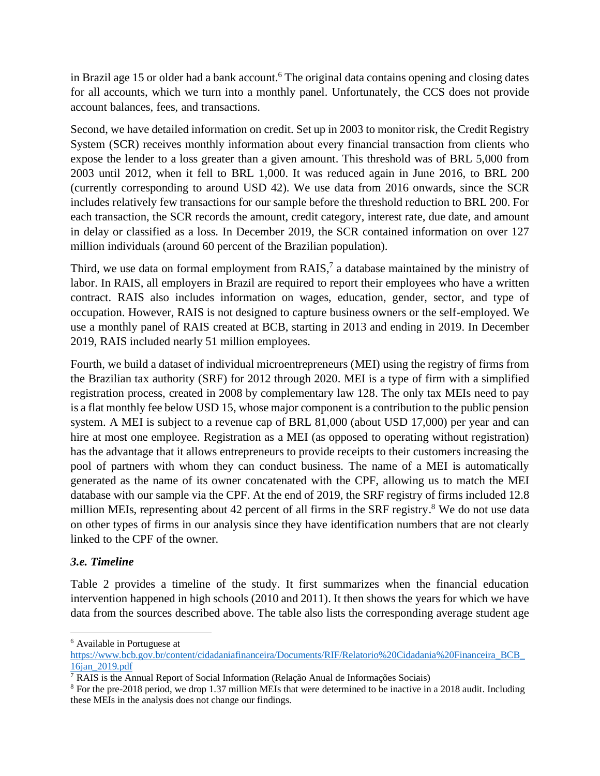in Brazil age 15 or older had a bank account. <sup>6</sup> The original data contains opening and closing dates for all accounts, which we turn into a monthly panel. Unfortunately, the CCS does not provide account balances, fees, and transactions.

Second, we have detailed information on credit. Set up in 2003 to monitor risk, the Credit Registry System (SCR) receives monthly information about every financial transaction from clients who expose the lender to a loss greater than a given amount. This threshold was of BRL 5,000 from 2003 until 2012, when it fell to BRL 1,000. It was reduced again in June 2016, to BRL 200 (currently corresponding to around USD 42). We use data from 2016 onwards, since the SCR includes relatively few transactions for our sample before the threshold reduction to BRL 200. For each transaction, the SCR records the amount, credit category, interest rate, due date, and amount in delay or classified as a loss. In December 2019, the SCR contained information on over 127 million individuals (around 60 percent of the Brazilian population).

Third, we use data on formal employment from  $R A I S$ ,<sup>7</sup> a database maintained by the ministry of labor. In RAIS, all employers in Brazil are required to report their employees who have a written contract. RAIS also includes information on wages, education, gender, sector, and type of occupation. However, RAIS is not designed to capture business owners or the self-employed. We use a monthly panel of RAIS created at BCB, starting in 2013 and ending in 2019. In December 2019, RAIS included nearly 51 million employees.

Fourth, we build a dataset of individual microentrepreneurs (MEI) using the registry of firms from the Brazilian tax authority (SRF) for 2012 through 2020. MEI is a type of firm with a simplified registration process, created in 2008 by complementary law 128. The only tax MEIs need to pay is a flat monthly fee below USD 15, whose major component is a contribution to the public pension system. A MEI is subject to a revenue cap of BRL 81,000 (about USD 17,000) per year and can hire at most one employee. Registration as a MEI (as opposed to operating without registration) has the advantage that it allows entrepreneurs to provide receipts to their customers increasing the pool of partners with whom they can conduct business. The name of a MEI is automatically generated as the name of its owner concatenated with the CPF, allowing us to match the MEI database with our sample via the CPF. At the end of 2019, the SRF registry of firms included 12.8 million MEIs, representing about 42 percent of all firms in the SRF registry.<sup>8</sup> We do not use data on other types of firms in our analysis since they have identification numbers that are not clearly linked to the CPF of the owner.

## *3.e. Timeline*

Table 2 provides a timeline of the study. It first summarizes when the financial education intervention happened in high schools (2010 and 2011). It then shows the years for which we have data from the sources described above. The table also lists the corresponding average student age

<sup>6</sup> Available in Portuguese at

[https://www.bcb.gov.br/content/cidadaniafinanceira/Documents/RIF/Relatorio%20Cidadania%20Financeira\\_BCB\\_](https://www.bcb.gov.br/content/cidadaniafinanceira/Documents/RIF/Relatorio%20Cidadania%20Financeira_BCB_16jan_2019.pdf) [16jan\\_2019.pdf](https://www.bcb.gov.br/content/cidadaniafinanceira/Documents/RIF/Relatorio%20Cidadania%20Financeira_BCB_16jan_2019.pdf)

 $\overline{7}$  RAIS is the Annual Report of Social Information (Relação Anual de Informações Sociais)

<sup>8</sup> For the pre-2018 period, we drop 1.37 million MEIs that were determined to be inactive in a 2018 audit. Including these MEIs in the analysis does not change our findings.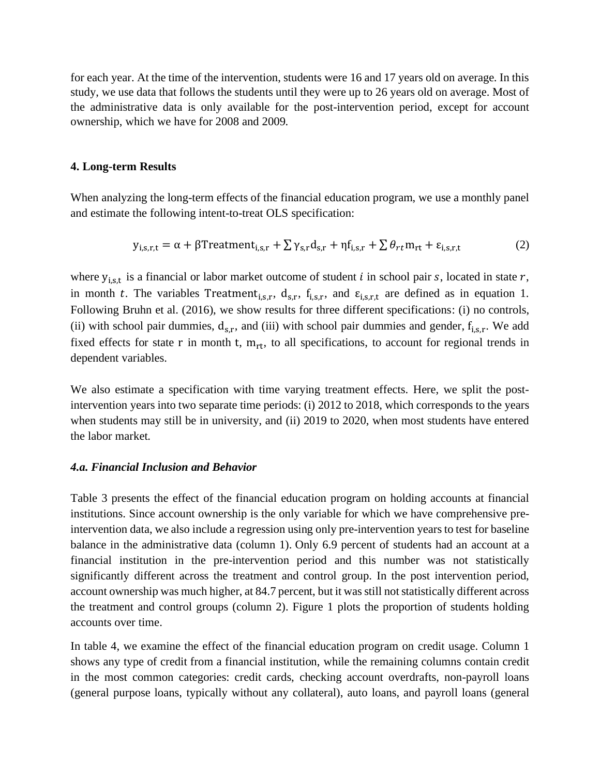for each year. At the time of the intervention, students were 16 and 17 years old on average. In this study, we use data that follows the students until they were up to 26 years old on average. Most of the administrative data is only available for the post-intervention period, except for account ownership, which we have for 2008 and 2009.

#### **4. Long-term Results**

When analyzing the long-term effects of the financial education program, we use a monthly panel and estimate the following intent-to-treat OLS specification:

$$
y_{i,s,r,t} = \alpha + \beta \text{Treatment}_{i,s,r} + \sum \gamma_{s,r} d_{s,r} + \eta f_{i,s,r} + \sum \theta_{rt} m_{rt} + \varepsilon_{i,s,r,t}
$$
(2)

where  $y_{i,s,t}$  is a financial or labor market outcome of student *i* in school pair *s*, located in state *r*, in month t. The variables Treatment<sub>i,s,r</sub>, d<sub>s,r</sub>, f<sub>i,s,r</sub>, and  $\varepsilon_{i,s,r,t}$  are defined as in equation 1. Following Bruhn et al. (2016), we show results for three different specifications: (i) no controls, (ii) with school pair dummies,  $d_{s,r}$ , and (iii) with school pair dummies and gender,  $f_{i,s,r}$ . We add fixed effects for state r in month t,  $m_{rt}$ , to all specifications, to account for regional trends in dependent variables.

We also estimate a specification with time varying treatment effects. Here, we split the postintervention years into two separate time periods: (i) 2012 to 2018, which corresponds to the years when students may still be in university, and (ii) 2019 to 2020, when most students have entered the labor market.

### *4.a. Financial Inclusion and Behavior*

Table 3 presents the effect of the financial education program on holding accounts at financial institutions. Since account ownership is the only variable for which we have comprehensive preintervention data, we also include a regression using only pre-intervention years to test for baseline balance in the administrative data (column 1). Only 6.9 percent of students had an account at a financial institution in the pre-intervention period and this number was not statistically significantly different across the treatment and control group. In the post intervention period, account ownership was much higher, at 84.7 percent, but it was still not statistically different across the treatment and control groups (column 2). Figure 1 plots the proportion of students holding accounts over time.

In table 4, we examine the effect of the financial education program on credit usage. Column 1 shows any type of credit from a financial institution, while the remaining columns contain credit in the most common categories: credit cards, checking account overdrafts, non-payroll loans (general purpose loans, typically without any collateral), auto loans, and payroll loans (general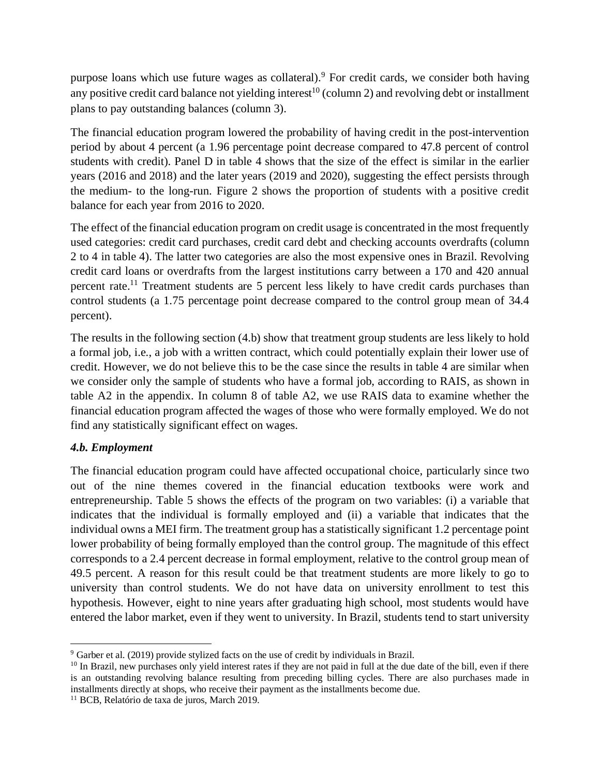purpose loans which use future wages as collateral).<sup>9</sup> For credit cards, we consider both having any positive credit card balance not yielding interest<sup>10</sup> (column 2) and revolving debt or installment plans to pay outstanding balances (column 3).

The financial education program lowered the probability of having credit in the post-intervention period by about 4 percent (a 1.96 percentage point decrease compared to 47.8 percent of control students with credit). Panel D in table 4 shows that the size of the effect is similar in the earlier years (2016 and 2018) and the later years (2019 and 2020), suggesting the effect persists through the medium- to the long-run. Figure 2 shows the proportion of students with a positive credit balance for each year from 2016 to 2020.

The effect of the financial education program on credit usage is concentrated in the most frequently used categories: credit card purchases, credit card debt and checking accounts overdrafts (column 2 to 4 in table 4). The latter two categories are also the most expensive ones in Brazil. Revolving credit card loans or overdrafts from the largest institutions carry between a 170 and 420 annual percent rate.<sup>11</sup> Treatment students are 5 percent less likely to have credit cards purchases than control students (a 1.75 percentage point decrease compared to the control group mean of 34.4 percent).

The results in the following section (4.b) show that treatment group students are less likely to hold a formal job, i.e., a job with a written contract, which could potentially explain their lower use of credit. However, we do not believe this to be the case since the results in table 4 are similar when we consider only the sample of students who have a formal job, according to RAIS, as shown in table A2 in the appendix. In column 8 of table A2, we use RAIS data to examine whether the financial education program affected the wages of those who were formally employed. We do not find any statistically significant effect on wages.

## *4.b. Employment*

The financial education program could have affected occupational choice, particularly since two out of the nine themes covered in the financial education textbooks were work and entrepreneurship. Table 5 shows the effects of the program on two variables: (i) a variable that indicates that the individual is formally employed and (ii) a variable that indicates that the individual owns a MEI firm. The treatment group has a statistically significant 1.2 percentage point lower probability of being formally employed than the control group. The magnitude of this effect corresponds to a 2.4 percent decrease in formal employment, relative to the control group mean of 49.5 percent. A reason for this result could be that treatment students are more likely to go to university than control students. We do not have data on university enrollment to test this hypothesis. However, eight to nine years after graduating high school, most students would have entered the labor market, even if they went to university. In Brazil, students tend to start university

<sup>9</sup> Garber et al. (2019) provide stylized facts on the use of credit by individuals in Brazil.

<sup>&</sup>lt;sup>10</sup> In Brazil, new purchases only yield interest rates if they are not paid in full at the due date of the bill, even if there is an outstanding revolving balance resulting from preceding billing cycles. There are also purchases made in installments directly at shops, who receive their payment as the installments become due.

<sup>11</sup> BCB, Relatório de taxa de juros, March 2019.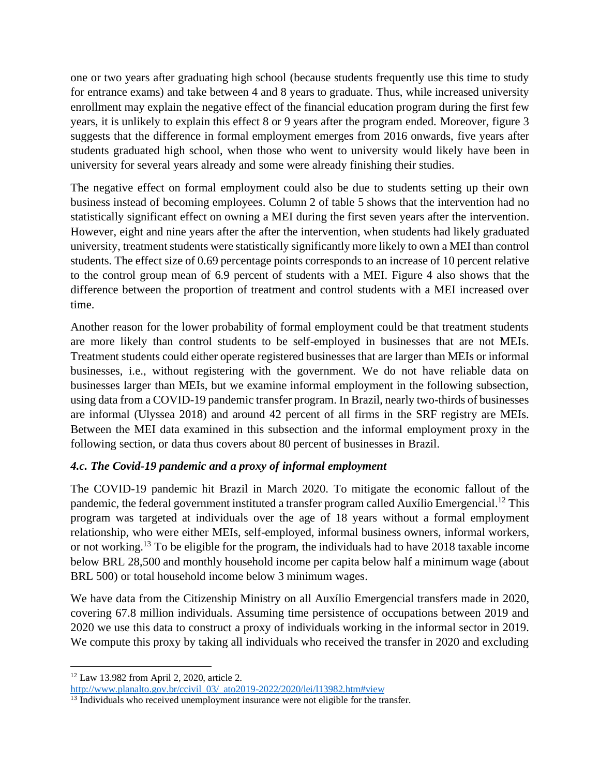one or two years after graduating high school (because students frequently use this time to study for entrance exams) and take between 4 and 8 years to graduate. Thus, while increased university enrollment may explain the negative effect of the financial education program during the first few years, it is unlikely to explain this effect 8 or 9 years after the program ended. Moreover, figure 3 suggests that the difference in formal employment emerges from 2016 onwards, five years after students graduated high school, when those who went to university would likely have been in university for several years already and some were already finishing their studies.

The negative effect on formal employment could also be due to students setting up their own business instead of becoming employees. Column 2 of table 5 shows that the intervention had no statistically significant effect on owning a MEI during the first seven years after the intervention. However, eight and nine years after the after the intervention, when students had likely graduated university, treatment students were statistically significantly more likely to own a MEI than control students. The effect size of 0.69 percentage points corresponds to an increase of 10 percent relative to the control group mean of 6.9 percent of students with a MEI. Figure 4 also shows that the difference between the proportion of treatment and control students with a MEI increased over time.

Another reason for the lower probability of formal employment could be that treatment students are more likely than control students to be self-employed in businesses that are not MEIs. Treatment students could either operate registered businesses that are larger than MEIs or informal businesses, i.e., without registering with the government. We do not have reliable data on businesses larger than MEIs, but we examine informal employment in the following subsection, using data from a COVID-19 pandemic transfer program. In Brazil, nearly two-thirds of businesses are informal (Ulyssea 2018) and around 42 percent of all firms in the SRF registry are MEIs. Between the MEI data examined in this subsection and the informal employment proxy in the following section, or data thus covers about 80 percent of businesses in Brazil.

# *4.c. The Covid-19 pandemic and a proxy of informal employment*

The COVID-19 pandemic hit Brazil in March 2020. To mitigate the economic fallout of the pandemic, the federal government instituted a transfer program called Auxílio Emergencial.<sup>12</sup> This program was targeted at individuals over the age of 18 years without a formal employment relationship, who were either MEIs, self-employed, informal business owners, informal workers, or not working.<sup>13</sup> To be eligible for the program, the individuals had to have 2018 taxable income below BRL 28,500 and monthly household income per capita below half a minimum wage (about BRL 500) or total household income below 3 minimum wages.

We have data from the Citizenship Ministry on all Auxílio Emergencial transfers made in 2020, covering 67.8 million individuals. Assuming time persistence of occupations between 2019 and 2020 we use this data to construct a proxy of individuals working in the informal sector in 2019. We compute this proxy by taking all individuals who received the transfer in 2020 and excluding

<sup>12</sup> Law 13.982 from April 2, 2020, article 2. [http://www.planalto.gov.br/ccivil\\_03/\\_ato2019-2022/2020/lei/l13982.htm#view](http://www.planalto.gov.br/ccivil_03/_ato2019-2022/2020/lei/l13982.htm#view)

 $\frac{13}{13}$  Individuals who received unemployment insurance were not eligible for the transfer.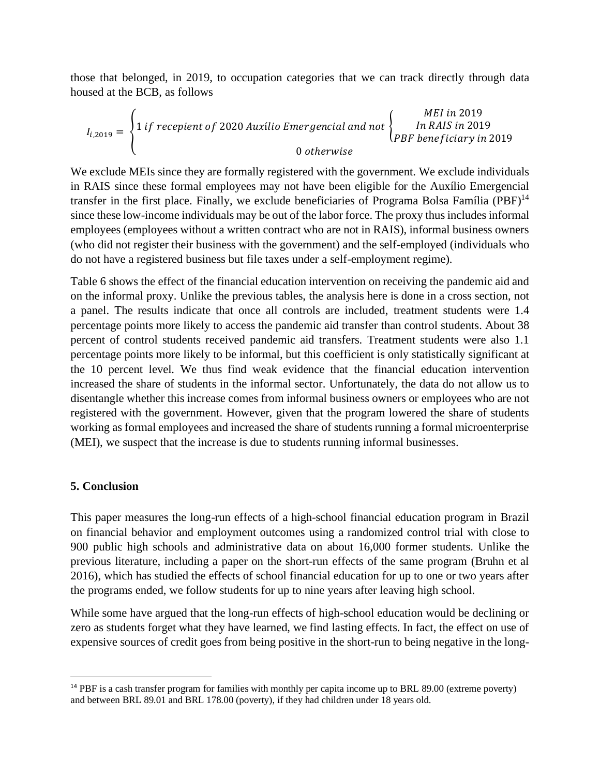those that belonged, in 2019, to occupation categories that we can track directly through data housed at the BCB, as follows

$$
I_{i,2019} = \begin{cases} 1 \text{ if } \text{reception of } 2020 \text{ Auxílio Emergencial and not} \\ \begin{cases} \text{MEI in } 2019 \\ \text{DR} \text{B}} \\ \text{B}} \\ \text{b} \end{cases} \text{The RAIS in } 2019 \\ \text{Doherwise}
$$

We exclude MEIs since they are formally registered with the government. We exclude individuals in RAIS since these formal employees may not have been eligible for the Auxílio Emergencial transfer in the first place. Finally, we exclude beneficiaries of Programa Bolsa Família (PBF) $^{14}$ since these low-income individuals may be out of the labor force. The proxy thus includes informal employees (employees without a written contract who are not in RAIS), informal business owners (who did not register their business with the government) and the self-employed (individuals who do not have a registered business but file taxes under a self-employment regime).

Table 6 shows the effect of the financial education intervention on receiving the pandemic aid and on the informal proxy. Unlike the previous tables, the analysis here is done in a cross section, not a panel. The results indicate that once all controls are included, treatment students were 1.4 percentage points more likely to access the pandemic aid transfer than control students. About 38 percent of control students received pandemic aid transfers. Treatment students were also 1.1 percentage points more likely to be informal, but this coefficient is only statistically significant at the 10 percent level. We thus find weak evidence that the financial education intervention increased the share of students in the informal sector. Unfortunately, the data do not allow us to disentangle whether this increase comes from informal business owners or employees who are not registered with the government. However, given that the program lowered the share of students working as formal employees and increased the share of students running a formal microenterprise (MEI), we suspect that the increase is due to students running informal businesses.

### **5. Conclusion**

This paper measures the long-run effects of a high-school financial education program in Brazil on financial behavior and employment outcomes using a randomized control trial with close to 900 public high schools and administrative data on about 16,000 former students. Unlike the previous literature, including a paper on the short-run effects of the same program (Bruhn et al 2016), which has studied the effects of school financial education for up to one or two years after the programs ended, we follow students for up to nine years after leaving high school.

While some have argued that the long-run effects of high-school education would be declining or zero as students forget what they have learned, we find lasting effects. In fact, the effect on use of expensive sources of credit goes from being positive in the short-run to being negative in the long-

<sup>&</sup>lt;sup>14</sup> PBF is a cash transfer program for families with monthly per capita income up to BRL 89.00 (extreme poverty) and between BRL 89.01 and BRL 178.00 (poverty), if they had children under 18 years old.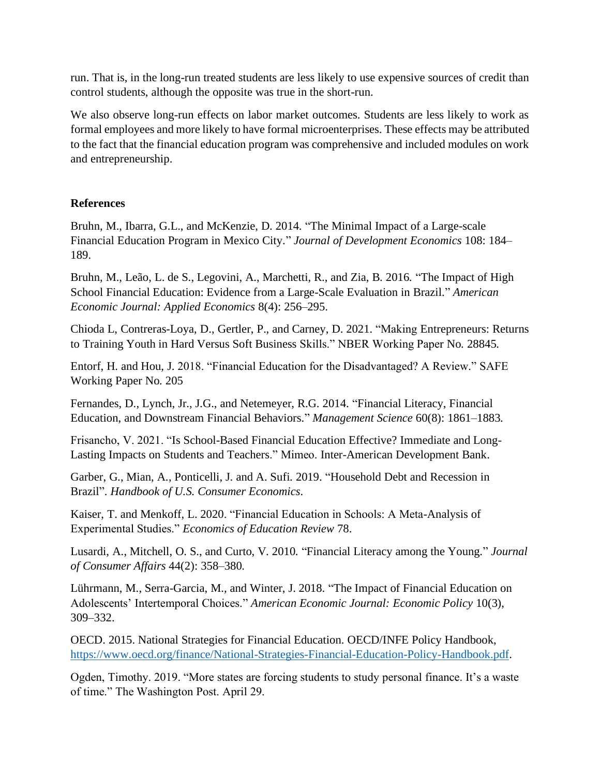run. That is, in the long-run treated students are less likely to use expensive sources of credit than control students, although the opposite was true in the short-run.

We also observe long-run effects on labor market outcomes. Students are less likely to work as formal employees and more likely to have formal microenterprises. These effects may be attributed to the fact that the financial education program was comprehensive and included modules on work and entrepreneurship.

## **References**

Bruhn, M., Ibarra, G.L., and McKenzie, D. 2014. "The Minimal Impact of a Large-scale Financial Education Program in Mexico City." *Journal of Development Economics* 108: 184– 189.

Bruhn, M., Leão, L. de S., Legovini, A., Marchetti, R., and Zia, B. 2016. "The Impact of High School Financial Education: Evidence from a Large-Scale Evaluation in Brazil." *American Economic Journal: Applied Economics* 8(4): 256–295.

Chioda L, Contreras-Loya, D., Gertler, P., and Carney, D. 2021. "Making Entrepreneurs: Returns to Training Youth in Hard Versus Soft Business Skills." NBER Working Paper No. 28845.

Entorf, H. and Hou, J. 2018. "Financial Education for the Disadvantaged? A Review." SAFE Working Paper No. 205

Fernandes, D., Lynch, Jr., J.G., and Netemeyer, R.G. 2014. "Financial Literacy, Financial Education, and Downstream Financial Behaviors." *Management Science* 60(8): 1861–1883.

Frisancho, V. 2021. "Is School-Based Financial Education Effective? Immediate and Long-Lasting Impacts on Students and Teachers." Mimeo. Inter-American Development Bank.

Garber, G., Mian, A., Ponticelli, J. and A. Sufi. 2019. "Household Debt and Recession in Brazil". *Handbook of U.S. Consumer Economics*.

Kaiser, T. and Menkoff, L. 2020. "Financial Education in Schools: A Meta-Analysis of Experimental Studies." *Economics of Education Review* 78.

Lusardi, A., Mitchell, O. S., and Curto, V. 2010. "Financial Literacy among the Young." *Journal of Consumer Affairs* 44(2): 358–380.

Lührmann, M., Serra-Garcia, M., and Winter, J. 2018. "The Impact of Financial Education on Adolescents' Intertemporal Choices." *American Economic Journal: Economic Policy* 10(3), 309–332.

OECD. 2015. National Strategies for Financial Education. OECD/INFE Policy Handbook, [https://www.oecd.org/finance/National-Strategies-Financial-Education-Policy-Handbook.pdf.](https://www.oecd.org/finance/National-Strategies-Financial-Education-Policy-Handbook.pdf)

Ogden, Timothy. 2019. "More states are forcing students to study personal finance. It's a waste of time." The Washington Post. April 29.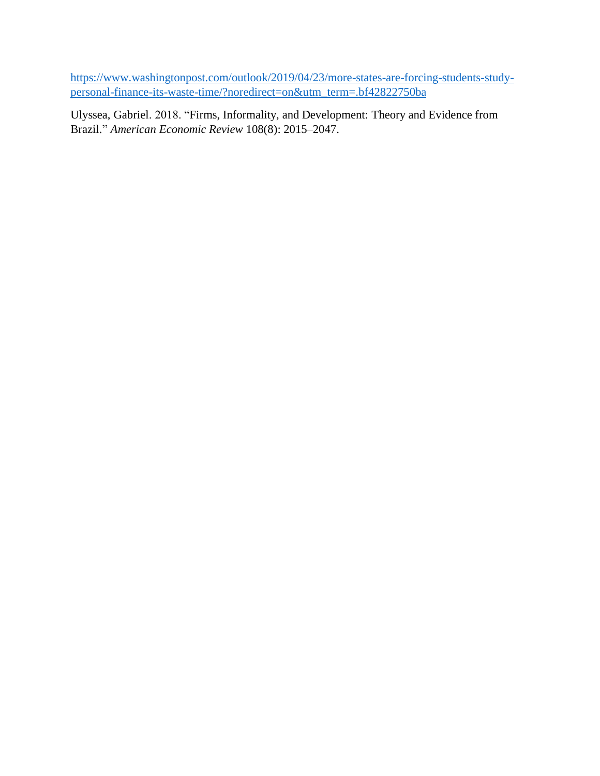[https://www.washingtonpost.com/outlook/2019/04/23/more-states-are-forcing-students-study](https://www.washingtonpost.com/outlook/2019/04/23/more-states-are-forcing-students-study-personal-finance-its-waste-time/?noredirect=on&utm_term=.bf42822750ba)[personal-finance-its-waste-time/?noredirect=on&utm\\_term=.bf42822750ba](https://www.washingtonpost.com/outlook/2019/04/23/more-states-are-forcing-students-study-personal-finance-its-waste-time/?noredirect=on&utm_term=.bf42822750ba)

Ulyssea, Gabriel. 2018. "Firms, Informality, and Development: Theory and Evidence from Brazil." *American Economic Review* 108(8): 2015–2047.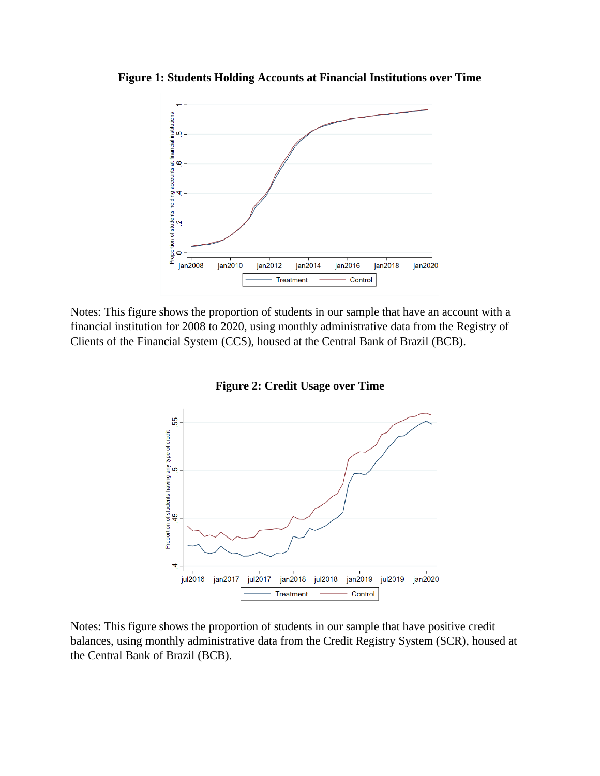**Figure 1: Students Holding Accounts at Financial Institutions over Time**



Notes: This figure shows the proportion of students in our sample that have an account with a financial institution for 2008 to 2020, using monthly administrative data from the Registry of Clients of the Financial System (CCS), housed at the Central Bank of Brazil (BCB).



**Figure 2: Credit Usage over Time**

Notes: This figure shows the proportion of students in our sample that have positive credit balances, using monthly administrative data from the Credit Registry System (SCR), housed at the Central Bank of Brazil (BCB).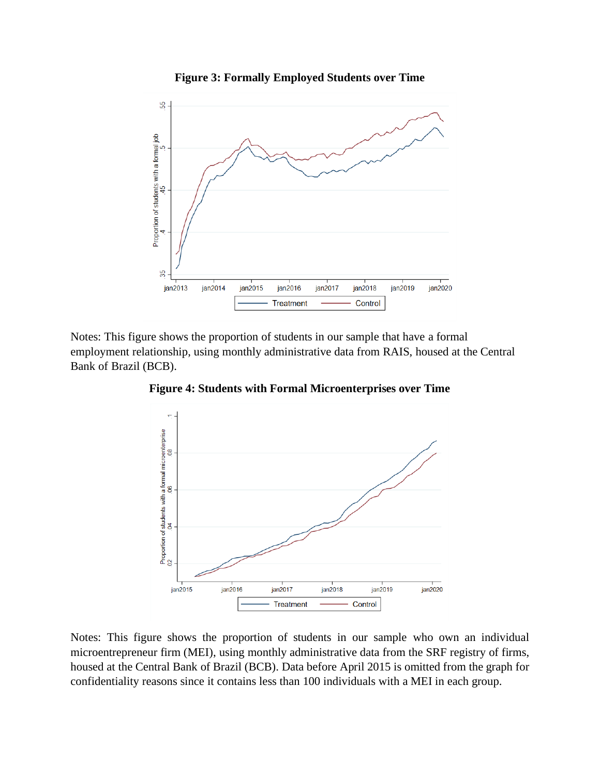

Notes: This figure shows the proportion of students in our sample that have a formal employment relationship, using monthly administrative data from RAIS, housed at the Central Bank of Brazil (BCB).



**Figure 4: Students with Formal Microenterprises over Time**

Notes: This figure shows the proportion of students in our sample who own an individual microentrepreneur firm (MEI), using monthly administrative data from the SRF registry of firms, housed at the Central Bank of Brazil (BCB). Data before April 2015 is omitted from the graph for confidentiality reasons since it contains less than 100 individuals with a MEI in each group.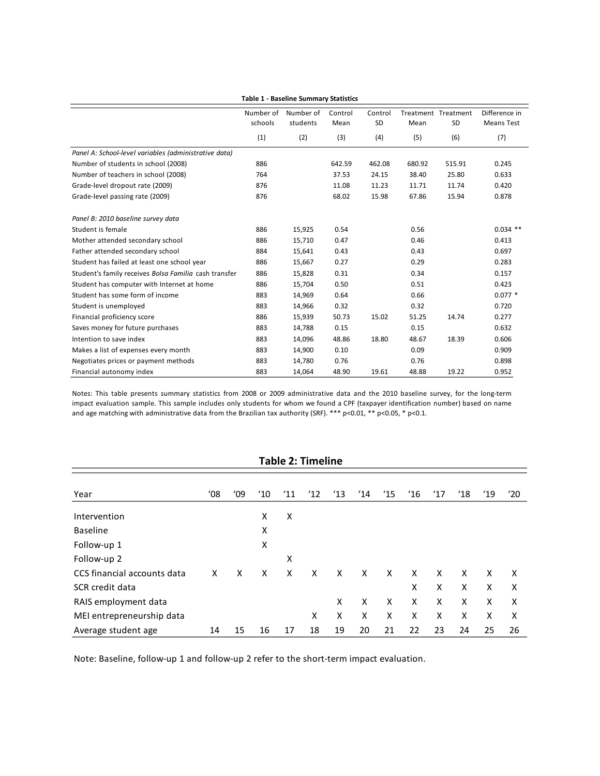|                                                       | <b>Table 1 - Baseline Summary Statistics</b> |                       |                 |               |        |                                  |                                    |  |  |  |
|-------------------------------------------------------|----------------------------------------------|-----------------------|-----------------|---------------|--------|----------------------------------|------------------------------------|--|--|--|
|                                                       | Number of<br>schools                         | Number of<br>students | Control<br>Mean | Control<br>SD | Mean   | Treatment Treatment<br><b>SD</b> | Difference in<br><b>Means Test</b> |  |  |  |
|                                                       | (1)                                          | (2)                   | (3)             | (4)           | (5)    | (6)                              | (7)                                |  |  |  |
| Panel A: School-level variables (administrative data) |                                              |                       |                 |               |        |                                  |                                    |  |  |  |
| Number of students in school (2008)                   | 886                                          |                       | 642.59          | 462.08        | 680.92 | 515.91                           | 0.245                              |  |  |  |
| Number of teachers in school (2008)                   | 764                                          |                       | 37.53           | 24.15         | 38.40  | 25.80                            | 0.633                              |  |  |  |
| Grade-level dropout rate (2009)                       | 876                                          |                       | 11.08           | 11.23         | 11.71  | 11.74                            | 0.420                              |  |  |  |
| Grade-level passing rate (2009)                       | 876                                          |                       | 68.02           | 15.98         | 67.86  | 15.94                            | 0.878                              |  |  |  |
| Panel B: 2010 baseline survey data                    |                                              |                       |                 |               |        |                                  |                                    |  |  |  |
| Student is female                                     | 886                                          | 15,925                | 0.54            |               | 0.56   |                                  | $0.034$ **                         |  |  |  |
| Mother attended secondary school                      | 886                                          | 15,710                | 0.47            |               | 0.46   |                                  | 0.413                              |  |  |  |
| Father attended secondary school                      | 884                                          | 15,641                | 0.43            |               | 0.43   |                                  | 0.697                              |  |  |  |
| Student has failed at least one school year           | 886                                          | 15,667                | 0.27            |               | 0.29   |                                  | 0.283                              |  |  |  |
| Student's family receives Bolsa Familia cash transfer | 886                                          | 15,828                | 0.31            |               | 0.34   |                                  | 0.157                              |  |  |  |
| Student has computer with Internet at home            | 886                                          | 15,704                | 0.50            |               | 0.51   |                                  | 0.423                              |  |  |  |
| Student has some form of income                       | 883                                          | 14,969                | 0.64            |               | 0.66   |                                  | $0.077*$                           |  |  |  |
| Student is unemployed                                 | 883                                          | 14,966                | 0.32            |               | 0.32   |                                  | 0.720                              |  |  |  |
| Financial proficiency score                           | 886                                          | 15,939                | 50.73           | 15.02         | 51.25  | 14.74                            | 0.277                              |  |  |  |
| Saves money for future purchases                      | 883                                          | 14,788                | 0.15            |               | 0.15   |                                  | 0.632                              |  |  |  |
| Intention to save index                               | 883                                          | 14,096                | 48.86           | 18.80         | 48.67  | 18.39                            | 0.606                              |  |  |  |
| Makes a list of expenses every month                  | 883                                          | 14,900                | 0.10            |               | 0.09   |                                  | 0.909                              |  |  |  |
| Negotiates prices or payment methods                  | 883                                          | 14,780                | 0.76            |               | 0.76   |                                  | 0.898                              |  |  |  |
| Financial autonomy index                              | 883                                          | 14,064                | 48.90           | 19.61         | 48.88  | 19.22                            | 0.952                              |  |  |  |

Notes: This table presents summary statistics from 2008 or 2009 administrative data and the 2010 baseline survey, for the long-term impact evaluation sample. This sample includes only students for whom we found a CPF (taxpayer identification number) based on name and age matching with administrative data from the Brazilian tax authority (SRF). \*\*\* p<0.01, \*\* p<0.05, \* p<0.1.

| <b>Table 2: Timeline</b>    |               |     |               |               |               |               |               |               |               |               |               |               |     |
|-----------------------------|---------------|-----|---------------|---------------|---------------|---------------|---------------|---------------|---------------|---------------|---------------|---------------|-----|
|                             |               |     |               |               |               |               |               |               |               |               |               |               |     |
| Year                        | $^{\prime}08$ | '09 | $^{\prime}10$ | $^{\prime}11$ | $^{\prime}12$ | $^{\prime}13$ | $^{\prime}14$ | $^{\prime}15$ | $^{\prime}16$ | $^{\prime}17$ | $^{\prime}18$ | $^{\prime}19$ | '20 |
| Intervention                |               |     | X             | X             |               |               |               |               |               |               |               |               |     |
| <b>Baseline</b>             |               |     | Χ             |               |               |               |               |               |               |               |               |               |     |
| Follow-up 1                 |               |     | Χ             |               |               |               |               |               |               |               |               |               |     |
| Follow-up 2                 |               |     |               | X             |               |               |               |               |               |               |               |               |     |
| CCS financial accounts data | x             | X   | x             | X             | x             | X             | X             | X             | X             | X             | X             | X             | X   |
| SCR credit data             |               |     |               |               |               |               |               |               | X             | X             | X             | X             | X   |
| RAIS employment data        |               |     |               |               |               | X             | X             | X             | X             | X             | x             | X             | X   |
| MEI entrepreneurship data   |               |     |               |               | x             | X             | X             | X             | X             | X             | x             | X             | X   |
| Average student age         | 14            | 15  | 16            | 17            | 18            | 19            | 20            | 21            | 22            | 23            | 24            | 25            | 26  |

Note: Baseline, follow-up 1 and follow-up 2 refer to the short-term impact evaluation.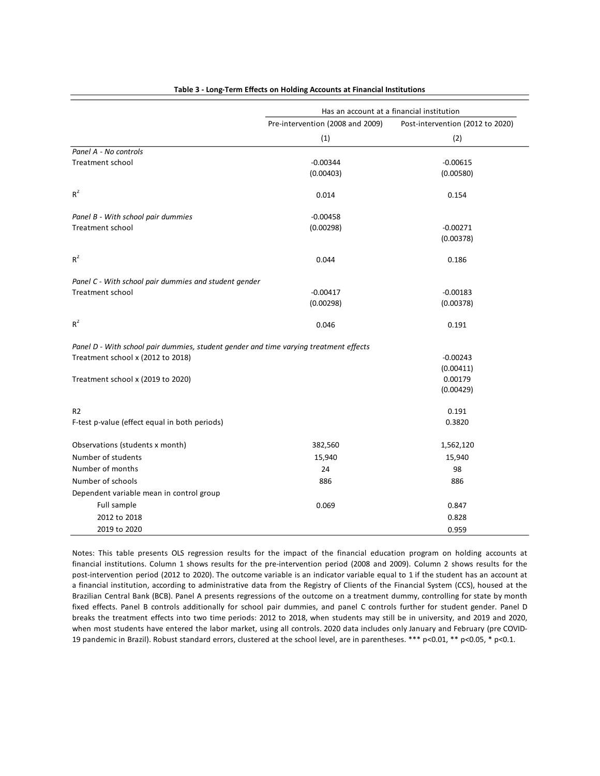|                                                                                       | Has an account at a financial institution |                                  |  |  |  |
|---------------------------------------------------------------------------------------|-------------------------------------------|----------------------------------|--|--|--|
|                                                                                       | Pre-intervention (2008 and 2009)          | Post-intervention (2012 to 2020) |  |  |  |
|                                                                                       | (1)                                       | (2)                              |  |  |  |
| Panel A - No controls                                                                 |                                           |                                  |  |  |  |
| Treatment school                                                                      | $-0.00344$                                | $-0.00615$                       |  |  |  |
|                                                                                       | (0.00403)                                 | (0.00580)                        |  |  |  |
| $R^2$                                                                                 | 0.014                                     | 0.154                            |  |  |  |
| Panel B - With school pair dummies                                                    | $-0.00458$                                |                                  |  |  |  |
| <b>Treatment school</b>                                                               | (0.00298)                                 | $-0.00271$                       |  |  |  |
|                                                                                       |                                           | (0.00378)                        |  |  |  |
| $R^2$                                                                                 | 0.044                                     | 0.186                            |  |  |  |
| Panel C - With school pair dummies and student gender                                 |                                           |                                  |  |  |  |
| <b>Treatment school</b>                                                               | $-0.00417$                                | $-0.00183$                       |  |  |  |
|                                                                                       | (0.00298)                                 | (0.00378)                        |  |  |  |
| $R^2$                                                                                 | 0.046                                     | 0.191                            |  |  |  |
| Panel D - With school pair dummies, student gender and time varying treatment effects |                                           |                                  |  |  |  |
| Treatment school x (2012 to 2018)                                                     |                                           | $-0.00243$                       |  |  |  |
|                                                                                       |                                           | (0.00411)                        |  |  |  |
| Treatment school x (2019 to 2020)                                                     |                                           | 0.00179                          |  |  |  |
|                                                                                       |                                           | (0.00429)                        |  |  |  |
| R <sub>2</sub>                                                                        |                                           | 0.191                            |  |  |  |
| F-test p-value (effect equal in both periods)                                         |                                           | 0.3820                           |  |  |  |
| Observations (students x month)                                                       | 382,560                                   | 1,562,120                        |  |  |  |
| Number of students                                                                    | 15,940                                    | 15,940                           |  |  |  |
| Number of months                                                                      | 24                                        | 98                               |  |  |  |
| Number of schools                                                                     | 886                                       | 886                              |  |  |  |
| Dependent variable mean in control group                                              |                                           |                                  |  |  |  |
| Full sample                                                                           | 0.069                                     | 0.847                            |  |  |  |
| 2012 to 2018                                                                          |                                           | 0.828                            |  |  |  |
| 2019 to 2020                                                                          |                                           | 0.959                            |  |  |  |

#### **Table 3 - Long-Term Effects on Holding Accounts at Financial Institutions**

Notes: This table presents OLS regression results for the impact of the financial education program on holding accounts at financial institutions. Column 1 shows results for the pre-intervention period (2008 and 2009). Column 2 shows results for the post-intervention period (2012 to 2020). The outcome variable is an indicator variable equal to 1 if the student has an account at a financial institution, according to administrative data from the Registry of Clients of the Financial System (CCS), housed at the Brazilian Central Bank (BCB). Panel A presents regressions of the outcome on a treatment dummy, controlling for state by month fixed effects. Panel B controls additionally for school pair dummies, and panel C controls further for student gender. Panel D breaks the treatment effects into two time periods: 2012 to 2018, when students may still be in university, and 2019 and 2020, when most students have entered the labor market, using all controls. 2020 data includes only January and February (pre COVID-19 pandemic in Brazil). Robust standard errors, clustered at the school level, are in parentheses. \*\*\* p<0.01, \*\* p<0.05, \* p<0.1.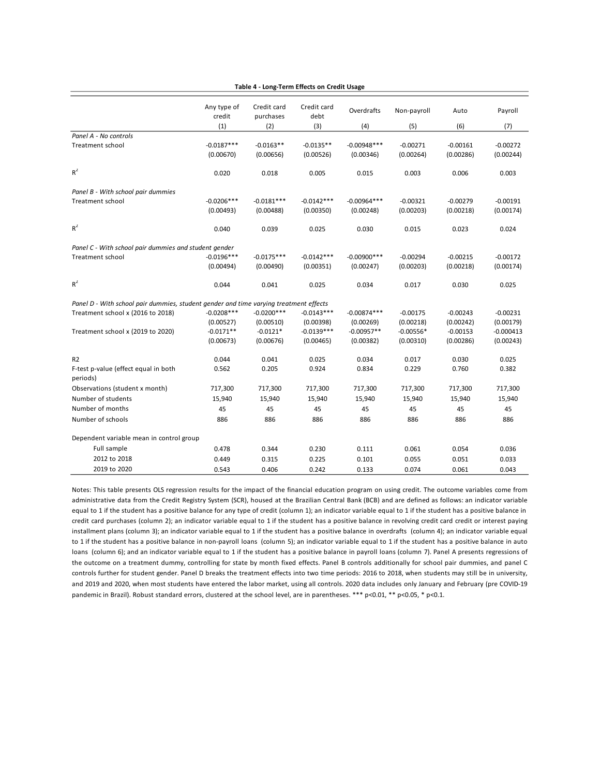|                                                                                       | Any type of<br>credit     | Credit card<br>Credit card<br>purchases |                          | Overdrafts                 | Non-payroll             | Auto                    | Payroll                 |
|---------------------------------------------------------------------------------------|---------------------------|-----------------------------------------|--------------------------|----------------------------|-------------------------|-------------------------|-------------------------|
|                                                                                       | (1)                       | (2)                                     | (3)                      | (4)                        | (5)                     | (6)                     | (7)                     |
| Panel A - No controls                                                                 |                           |                                         |                          |                            |                         |                         |                         |
| <b>Treatment school</b>                                                               | $-0.0187***$<br>(0.00670) | $-0.0163**$<br>(0.00656)                | $-0.0135**$<br>(0.00526) | $-0.00948***$<br>(0.00346) | $-0.00271$<br>(0.00264) | $-0.00161$<br>(0.00286) | $-0.00272$<br>(0.00244) |
| $R^2$                                                                                 | 0.020                     | 0.018                                   | 0.005                    | 0.015                      | 0.003                   | 0.006                   | 0.003                   |
| Panel B - With school pair dummies                                                    |                           |                                         |                          |                            |                         |                         |                         |
| Treatment school                                                                      | $-0.0206***$              | $-0.0181***$                            | $-0.0142***$             | $-0.00964***$              | $-0.00321$              | $-0.00279$              | $-0.00191$              |
|                                                                                       | (0.00493)                 | (0.00488)                               | (0.00350)                | (0.00248)                  | (0.00203)               | (0.00218)               | (0.00174)               |
| $R^2$                                                                                 | 0.040                     | 0.039                                   | 0.025                    | 0.030                      | 0.015                   | 0.023                   | 0.024                   |
| Panel C - With school pair dummies and student gender                                 |                           |                                         |                          |                            |                         |                         |                         |
| Treatment school                                                                      | $-0.0196***$              | $-0.0175***$                            | $-0.0142***$             | $-0.00900$ ***             | $-0.00294$              | $-0.00215$              | $-0.00172$              |
|                                                                                       | (0.00494)                 | (0.00490)                               | (0.00351)                | (0.00247)                  | (0.00203)               | (0.00218)               | (0.00174)               |
| $R^2$                                                                                 | 0.044                     | 0.041                                   | 0.025                    | 0.034                      | 0.017                   | 0.030                   | 0.025                   |
| Panel D - With school pair dummies, student gender and time varying treatment effects |                           |                                         |                          |                            |                         |                         |                         |
| Treatment school x (2016 to 2018)                                                     | $-0.0208$ ***             | $-0.0200$ ***                           | $-0.0143***$             | $-0.00874***$              | $-0.00175$              | $-0.00243$              | $-0.00231$              |
|                                                                                       | (0.00527)                 | (0.00510)                               | (0.00398)                | (0.00269)                  | (0.00218)               | (0.00242)               | (0.00179)               |
| Treatment school x (2019 to 2020)                                                     | $-0.0171**$               | $-0.0121*$                              | $-0.0139***$             | $-0.00957**$               | $-0.00556*$             | $-0.00153$              | $-0.000413$             |
|                                                                                       | (0.00673)                 | (0.00676)                               | (0.00465)                | (0.00382)                  | (0.00310)               | (0.00286)               | (0.00243)               |
| R2                                                                                    | 0.044                     | 0.041                                   | 0.025                    | 0.034                      | 0.017                   | 0.030                   | 0.025                   |
| F-test p-value (effect equal in both<br>periods)                                      | 0.562                     | 0.205                                   | 0.924                    | 0.834                      | 0.229                   | 0.760                   | 0.382                   |
| Observations (student x month)                                                        | 717,300                   | 717,300                                 | 717,300                  | 717,300                    | 717,300                 | 717,300                 | 717,300                 |
| Number of students                                                                    | 15,940                    | 15,940                                  | 15,940                   | 15,940                     | 15,940                  | 15,940                  | 15,940                  |
| Number of months                                                                      | 45                        | 45                                      | 45                       | 45                         | 45                      | 45                      | 45                      |
| Number of schools                                                                     | 886                       | 886                                     | 886                      | 886                        | 886                     | 886                     | 886                     |
| Dependent variable mean in control group                                              |                           |                                         |                          |                            |                         |                         |                         |
| Full sample                                                                           | 0.478                     | 0.344                                   | 0.230                    | 0.111                      | 0.061                   | 0.054                   | 0.036                   |
| 2012 to 2018                                                                          | 0.449                     | 0.315                                   | 0.225                    | 0.101                      | 0.055                   | 0.051                   | 0.033                   |
| 2019 to 2020                                                                          | 0.543                     | 0.406                                   | 0.242                    | 0.133                      | 0.074                   | 0.061                   | 0.043                   |
|                                                                                       |                           |                                         |                          |                            |                         |                         |                         |

#### **Table 4 - Long-Term Effects on Credit Usage**

Notes: This table presents OLS regression results for the impact of the financial education program on using credit. The outcome variables come from administrative data from the Credit Registry System (SCR), housed at the Brazilian Central Bank (BCB) and are defined as follows: an indicator variable equal to 1 if the student has a positive balance for any type of credit (column 1); an indicator variable equal to 1 if the student has a positive balance in credit card purchases (column 2); an indicator variable equal to 1 if the student has a positive balance in revolving credit card credit or interest paying installment plans (column 3); an indicator variable equal to 1 if the student has a positive balance in overdrafts (column 4); an indicator variable equal to 1 if the student has a positive balance in non-payroll loans (column 5); an indicator variable equal to 1 if the student has a positive balance in auto loans (column 6); and an indicator variable equal to 1 if the student has a positive balance in payroll loans (column 7). Panel A presents regressions of the outcome on a treatment dummy, controlling for state by month fixed effects. Panel B controls additionally for school pair dummies, and panel C controls further for student gender. Panel D breaks the treatment effects into two time periods: 2016 to 2018, when students may still be in university, and 2019 and 2020, when most students have entered the labor market, using all controls. 2020 data includes only January and February (pre COVID-19 pandemic in Brazil). Robust standard errors, clustered at the school level, are in parentheses. \*\*\* p<0.01, \*\* p<0.05, \* p<0.1.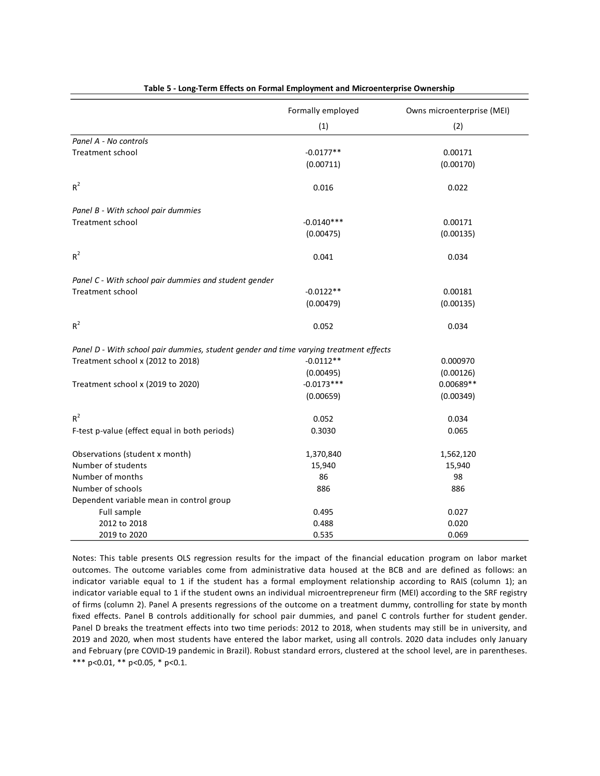|                                                                                       | Formally employed | Owns microenterprise (MEI) |
|---------------------------------------------------------------------------------------|-------------------|----------------------------|
|                                                                                       | (1)               | (2)                        |
| Panel A - No controls                                                                 |                   |                            |
| <b>Treatment school</b>                                                               | $-0.0177**$       | 0.00171                    |
|                                                                                       | (0.00711)         | (0.00170)                  |
| $R^2$                                                                                 | 0.016             | 0.022                      |
| Panel B - With school pair dummies                                                    |                   |                            |
| <b>Treatment school</b>                                                               | $-0.0140***$      | 0.00171                    |
|                                                                                       | (0.00475)         | (0.00135)                  |
| $R^2$                                                                                 | 0.041             | 0.034                      |
| Panel C - With school pair dummies and student gender                                 |                   |                            |
| <b>Treatment school</b>                                                               | $-0.0122**$       | 0.00181                    |
|                                                                                       | (0.00479)         | (0.00135)                  |
| $R^2$                                                                                 | 0.052             | 0.034                      |
| Panel D - With school pair dummies, student gender and time varying treatment effects |                   |                            |
| Treatment school x (2012 to 2018)                                                     | $-0.0112**$       | 0.000970                   |
|                                                                                       | (0.00495)         | (0.00126)                  |
| Treatment school x (2019 to 2020)                                                     | $-0.0173***$      | 0.00689**                  |
|                                                                                       | (0.00659)         | (0.00349)                  |
| $R^2$                                                                                 | 0.052             | 0.034                      |
| F-test p-value (effect equal in both periods)                                         | 0.3030            | 0.065                      |
| Observations (student x month)                                                        | 1,370,840         | 1,562,120                  |
| Number of students                                                                    | 15,940            | 15,940                     |
| Number of months                                                                      | 86                | 98                         |
| Number of schools                                                                     | 886               | 886                        |
| Dependent variable mean in control group                                              |                   |                            |
| Full sample                                                                           | 0.495             | 0.027                      |
| 2012 to 2018                                                                          | 0.488             | 0.020                      |
| 2019 to 2020                                                                          | 0.535             | 0.069                      |

**Table 5 - Long-Term Effects on Formal Employment and Microenterprise Ownership**

Notes: This table presents OLS regression results for the impact of the financial education program on labor market outcomes. The outcome variables come from administrative data housed at the BCB and are defined as follows: an indicator variable equal to 1 if the student has a formal employment relationship according to RAIS (column 1); an indicator variable equal to 1 if the student owns an individual microentrepreneur firm (MEI) according to the SRF registry of firms (column 2). Panel A presents regressions of the outcome on a treatment dummy, controlling for state by month fixed effects. Panel B controls additionally for school pair dummies, and panel C controls further for student gender. Panel D breaks the treatment effects into two time periods: 2012 to 2018, when students may still be in university, and 2019 and 2020, when most students have entered the labor market, using all controls. 2020 data includes only January and February (pre COVID-19 pandemic in Brazil). Robust standard errors, clustered at the school level, are in parentheses. \*\*\* p<0.01, \*\* p<0.05, \* p<0.1.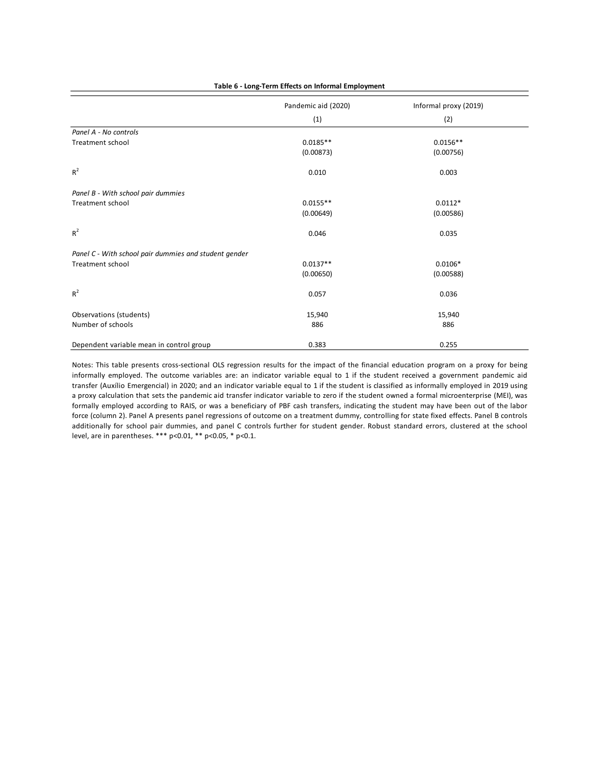|                                                       | Pandemic aid (2020) | Informal proxy (2019) |  |
|-------------------------------------------------------|---------------------|-----------------------|--|
|                                                       | (1)                 | (2)                   |  |
| Panel A - No controls                                 |                     |                       |  |
| Treatment school                                      | $0.0185**$          | $0.0156**$            |  |
|                                                       | (0.00873)           | (0.00756)             |  |
| $R^2$                                                 | 0.010               | 0.003                 |  |
| Panel B - With school pair dummies                    |                     |                       |  |
| Treatment school                                      | $0.0155**$          | $0.0112*$             |  |
|                                                       | (0.00649)           | (0.00586)             |  |
| $R^2$                                                 | 0.046               | 0.035                 |  |
| Panel C - With school pair dummies and student gender |                     |                       |  |
| Treatment school                                      | $0.0137**$          | $0.0106*$             |  |
|                                                       | (0.00650)           | (0.00588)             |  |
| $R^2$                                                 | 0.057               | 0.036                 |  |
| Observations (students)                               | 15,940              | 15,940                |  |
| Number of schools                                     | 886                 | 886                   |  |
| Dependent variable mean in control group              | 0.383               | 0.255                 |  |

**Table 6 - Long-Term Effects on Informal Employment**

Notes: This table presents cross-sectional OLS regression results for the impact of the financial education program on a proxy for being informally employed. The outcome variables are: an indicator variable equal to 1 if the student received a government pandemic aid transfer (Auxílio Emergencial) in 2020; and an indicator variable equal to 1 if the student is classified as informally employed in 2019 using a proxy calculation that sets the pandemic aid transfer indicator variable to zero if the student owned a formal microenterprise (MEI), was formally employed according to RAIS, or was a beneficiary of PBF cash transfers, indicating the student may have been out of the labor force (column 2). Panel A presents panel regressions of outcome on a treatment dummy, controlling for state fixed effects. Panel B controls additionally for school pair dummies, and panel C controls further for student gender. Robust standard errors, clustered at the school level, are in parentheses. \*\*\* p<0.01, \*\* p<0.05, \* p<0.1.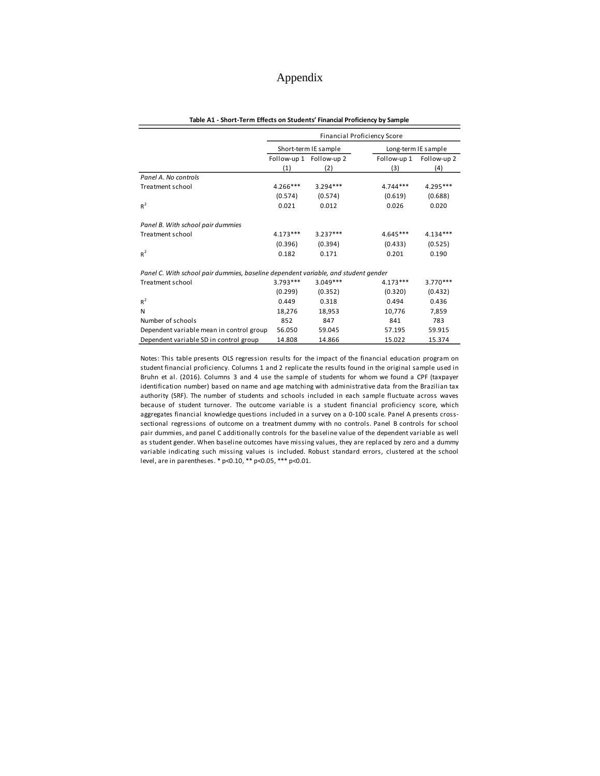## Appendix

|                                                                                    | <b>Financial Proficiency Score</b>          |            |             |             |  |  |  |  |  |
|------------------------------------------------------------------------------------|---------------------------------------------|------------|-------------|-------------|--|--|--|--|--|
|                                                                                    | Short-term IE sample<br>Long-term IE sample |            |             |             |  |  |  |  |  |
|                                                                                    | Follow-up 1 Follow-up 2                     |            | Follow-up 1 | Follow-up 2 |  |  |  |  |  |
|                                                                                    | (1)                                         | (2)        | (3)         | (4)         |  |  |  |  |  |
| Panel A. No controls                                                               |                                             |            |             |             |  |  |  |  |  |
| Treatment school                                                                   | $4.266***$                                  | $3.294***$ | $4.744***$  | 4.295***    |  |  |  |  |  |
|                                                                                    | (0.574)                                     | (0.574)    | (0.619)     | (0.688)     |  |  |  |  |  |
| $R^2$                                                                              | 0.021                                       | 0.012      | 0.026       | 0.020       |  |  |  |  |  |
| Panel B. With school pair dummies                                                  |                                             |            |             |             |  |  |  |  |  |
| Treatment school                                                                   | $4.173***$                                  | $3.237***$ | $4.645***$  | $4.134***$  |  |  |  |  |  |
|                                                                                    | (0.396)                                     | (0.394)    | (0.433)     | (0.525)     |  |  |  |  |  |
| $R^2$                                                                              | 0.182                                       | 0.171      | 0.201       | 0.190       |  |  |  |  |  |
| Panel C. With school pair dummies, baseline dependent variable, and student gender |                                             |            |             |             |  |  |  |  |  |
| Treatment school                                                                   | $3.793***$                                  | $3.049***$ | $4.173***$  | $3.770***$  |  |  |  |  |  |
|                                                                                    | (0.299)                                     | (0.352)    | (0.320)     | (0.432)     |  |  |  |  |  |
| $R^2$                                                                              | 0.449                                       | 0.318      | 0.494       | 0.436       |  |  |  |  |  |
| N                                                                                  | 18,276                                      | 18,953     | 10,776      | 7,859       |  |  |  |  |  |
| Number of schools                                                                  | 852                                         | 847        | 841         | 783         |  |  |  |  |  |
| Dependent variable mean in control group                                           | 56.050                                      | 59.045     | 57.195      | 59.915      |  |  |  |  |  |
| Dependent variable SD in control group                                             | 14.808                                      | 14.866     | 15.022      | 15.374      |  |  |  |  |  |

#### **Table A1 - Short-Term Effects on Students' Financial Proficiency by Sample**

Notes: This table presents OLS regression results for the impact of the financial education program on student financial proficiency. Columns 1 and 2 replicate the results found in the original sample used in Bruhn et al. (2016). Columns 3 and 4 use the sample of students for whom we found <sup>a</sup> CPF (taxpayer identification number) based on name and age matching with administrative data from the Brazilian tax authority (SRF). The number of students and schools included in each sample fluctuate across waves because of student turnover. The outcome variable is a student financial proficiency score, which aggregates financial knowledge questions included in a survey on a 0-100 scale. Panel A presents crosssectional regressions of outcome on <sup>a</sup> treatment dummy with no controls. Panel B controls for school pair dummies, and panel C additionally controls for the baseline value of the dependent variable as well as student gender. When baseline outcomes have missing values, they are replaced by zero and a dummy variable indicating such missing values is included. Robust standard errors, clustered at the school level, are in parentheses. \* p<0.10, \*\* p<0.05, \*\*\* p<0.01.